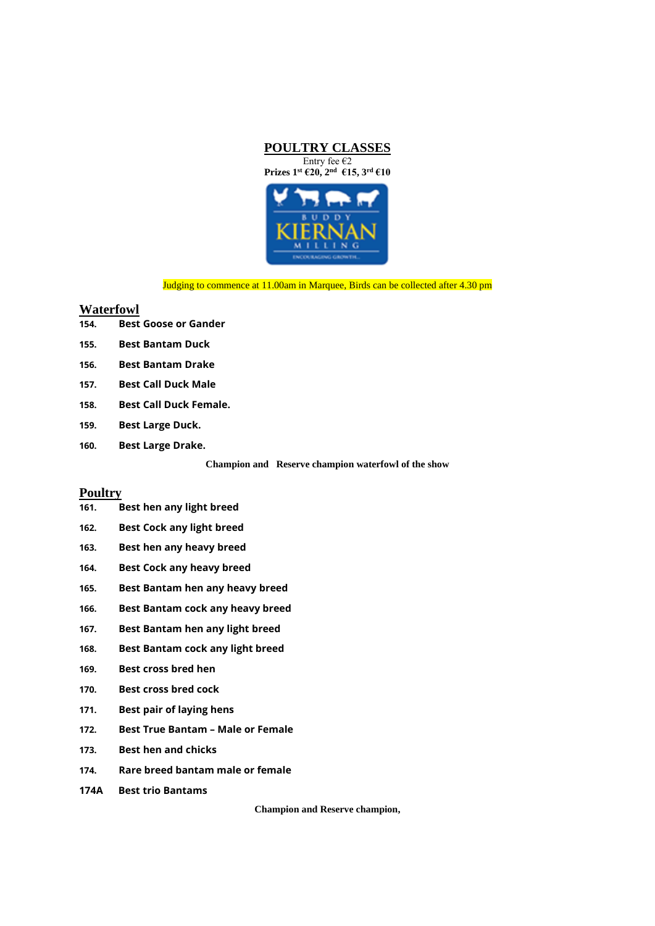



Judging to commence at 11.00am in Marquee, Birds can be collected after 4.30 pm

# **Waterfowl**

| <b>Best Goose or Gander</b><br>154. |  |
|-------------------------------------|--|
|-------------------------------------|--|

- **155. Best Bantam Duck**
- **156. Best Bantam Drake**
- **157. Best Call Duck Male**
- **158. Best Call Duck Female.**
- **159. Best Large Duck.**
- **160. Best Large Drake.**

**Champion and Reserve champion waterfowl of the show**

# **Poultry**

- **161. Best hen any light breed**
- **162. Best Cock any light breed**
- **163. Best hen any heavy breed**
- **164. Best Cock any heavy breed**
- **165. Best Bantam hen any heavy breed**
- **166. Best Bantam cock any heavy breed**
- **167. Best Bantam hen any light breed**
- **168. Best Bantam cock any light breed**
- **169. Best cross bred hen**
- **170. Best cross bred cock**
- **171. Best pair of laying hens**
- **172. Best True Bantam – Male or Female**
- **173. Best hen and chicks**
- **174. Rare breed bantam male or female**
- **174A Best trio Bantams**

**Champion and Reserve champion,**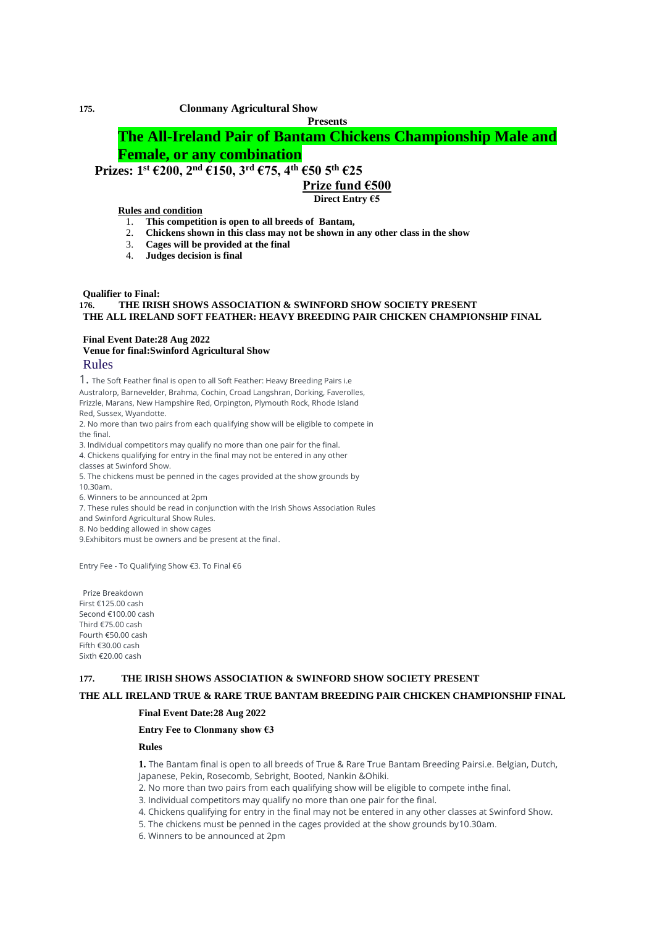**Presents**

# **The All-Ireland Pair of Bantam Chickens Championship Male and Female, or any combination**

# **Prizes: 1st €200, 2 nd €150, 3rd €75, 4th €50 5th €25**

## **Prize fund €500**

**Direct Entry €5**

### **Rules and condition**

- 1. **This competition is open to all breeds of Bantam,**
- 2. **Chickens shown in this class may not be shown in any other class in the show**
- 3. **Cages will be provided at the final**
- 4. **Judges decision is final**

#### **Qualifier to Final:**

### **176. THE IRISH SHOWS ASSOCIATION & SWINFORD SHOW SOCIETY PRESENT THE ALL IRELAND SOFT FEATHER: HEAVY BREEDING PAIR CHICKEN CHAMPIONSHIP FINAL**

### **Final Event Date:28 Aug 2022 Venue for final:Swinford Agricultural Show** Rules

1. The Soft Feather final is open to all Soft Feather: Heavy Breeding Pairs i.e Australorp, Barnevelder, Brahma, Cochin, Croad Langshran, Dorking, Faverolles, Frizzle, Marans, New Hampshire Red, Orpington, Plymouth Rock, Rhode Island Red, Sussex, Wyandotte.

2. No more than two pairs from each qualifying show will be eligible to compete in the final.

3. Individual competitors may qualify no more than one pair for the final.

4. Chickens qualifying for entry in the final may not be entered in any other

classes at Swinford Show.

5. The chickens must be penned in the cages provided at the show grounds by 10.30am.

6. Winners to be announced at 2pm

7. These rules should be read in conjunction with the Irish Shows Association Rules

and Swinford Agricultural Show Rules.

8. No bedding allowed in show cages

9.Exhibitors must be owners and be present at the final.

Entry Fee - To Qualifying Show €3. To Final €6

Prize Breakdown First €125.00 cash Second €100.00 cash Third €75.00 cash Fourth €50.00 cash Fifth €30.00 cash Sixth €20.00 cash

#### **177. THE IRISH SHOWS ASSOCIATION & SWINFORD SHOW SOCIETY PRESENT**

## **THE ALL IRELAND TRUE & RARE TRUE BANTAM BREEDING PAIR CHICKEN CHAMPIONSHIP FINAL**

# **Final Event Date:28 Aug 2022**

#### **Entry Fee to Clonmany show €3**

#### **Rules**

**1.** The Bantam final is open to all breeds of True & Rare True Bantam Breeding Pairsi.e. Belgian, Dutch, Japanese, Pekin, Rosecomb, Sebright, Booted, Nankin &Ohiki.

2. No more than two pairs from each qualifying show will be eligible to compete inthe final.

- 3. Individual competitors may qualify no more than one pair for the final.
- 4. Chickens qualifying for entry in the final may not be entered in any other classes at Swinford Show.

5. The chickens must be penned in the cages provided at the show grounds by10.30am.

6. Winners to be announced at 2pm